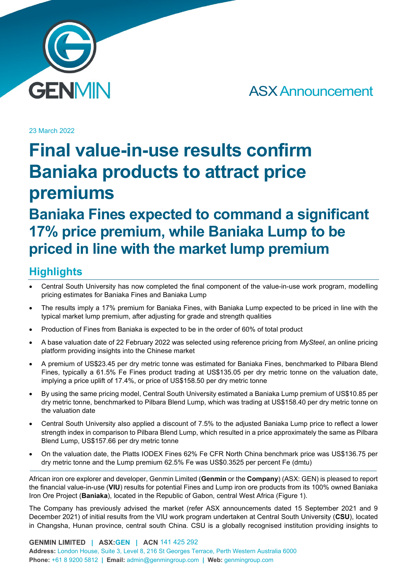

ASX Announcement

23 March 2022

# **Final value-in-use results confirm Baniaka products to attract price premiums**

# **Baniaka Fines expected to command a significant 17% price premium, while Baniaka Lump to be priced in line with the market lump premium**

# **Highlights**

- Central South University has now completed the final component of the value-in-use work program, modelling pricing estimates for Baniaka Fines and Baniaka Lump
- The results imply a 17% premium for Baniaka Fines, with Baniaka Lump expected to be priced in line with the typical market lump premium, after adjusting for grade and strength qualities
- Production of Fines from Baniaka is expected to be in the order of 60% of total product
- A base valuation date of 22 February 2022 was selected using reference pricing from *MySteel*, an online pricing platform providing insights into the Chinese market
- A premium of US\$23.45 per dry metric tonne was estimated for Baniaka Fines, benchmarked to Pilbara Blend Fines, typically a 61.5% Fe Fines product trading at US\$135.05 per dry metric tonne on the valuation date, implying a price uplift of 17.4%, or price of US\$158.50 per dry metric tonne
- By using the same pricing model, Central South University estimated a Baniaka Lump premium of US\$10.85 per dry metric tonne, benchmarked to Pilbara Blend Lump, which was trading at US\$158.40 per dry metric tonne on the valuation date
- Central South University also applied a discount of 7.5% to the adjusted Baniaka Lump price to reflect a lower strength index in comparison to Pilbara Blend Lump, which resulted in a price approximately the same as Pilbara Blend Lump, US\$157.66 per dry metric tonne
- On the valuation date, the Platts IODEX Fines 62% Fe CFR North China benchmark price was US\$136.75 per dry metric tonne and the Lump premium 62.5% Fe was US\$0.3525 per percent Fe (dmtu)

African iron ore explorer and developer, Genmin Limited (**Genmin** or the **Company**) (ASX: GEN) is pleased to report the financial value-in-use (**VIU**) results for potential Fines and Lump iron ore products from its 100% owned Baniaka Iron Ore Project (**Baniaka**), located in the Republic of Gabon, central West Africa (Figure 1).

The Company has previously advised the market (refer ASX announcements dated 15 September 2021 and 9 December 2021) of initial results from the VIU work program undertaken at Central South University (**CSU**), located in Changsha, Hunan province, central south China. CSU is a globally recognised institution providing insights to

**GENMIN LIMITED | ASX:GEN | ACN** 141 425 292 **Address:** London House, Suite 3, Level 8, 216 St Georges Terrace, Perth Western Australia 6000 **Phone:** +61 8 9200 5812 **| Email:** admin@genmingroup.com **| Web:** genmingroup.com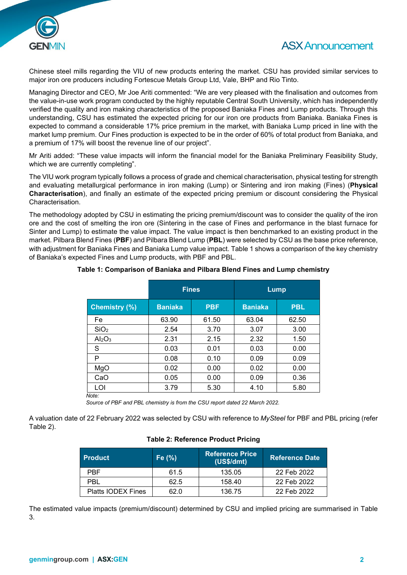

# ASX Announcement

Chinese steel mills regarding the VIU of new products entering the market. CSU has provided similar services to major iron ore producers including Fortescue Metals Group Ltd, Vale, BHP and Rio Tinto.

Managing Director and CEO, Mr Joe Ariti commented: "We are very pleased with the finalisation and outcomes from the value-in-use work program conducted by the highly reputable Central South University, which has independently verified the quality and iron making characteristics of the proposed Baniaka Fines and Lump products. Through this understanding, CSU has estimated the expected pricing for our iron ore products from Baniaka. Baniaka Fines is expected to command a considerable 17% price premium in the market, with Baniaka Lump priced in line with the market lump premium. Our Fines production is expected to be in the order of 60% of total product from Baniaka, and a premium of 17% will boost the revenue line of our project".

Mr Ariti added: "These value impacts will inform the financial model for the Baniaka Preliminary Feasibility Study, which we are currently completing".

The VIU work program typically follows a process of grade and chemical characterisation, physical testing for strength and evaluating metallurgical performance in iron making (Lump) or Sintering and iron making (Fines) (**Physical Characterisation**), and finally an estimate of the expected pricing premium or discount considering the Physical Characterisation.

The methodology adopted by CSU in estimating the pricing premium/discount was to consider the quality of the iron ore and the cost of smelting the iron ore (Sintering in the case of Fines and performance in the blast furnace for Sinter and Lump) to estimate the value impact. The value impact is then benchmarked to an existing product in the market. Pilbara Blend Fines (**PBF**) and Pilbara Blend Lump (**PBL**) were selected by CSU as the base price reference, with adjustment for Baniaka Fines and Baniaka Lump value impact. Table 1 shows a comparison of the key chemistry of Baniaka's expected Fines and Lump products, with PBF and PBL.

|                                | <b>Fines</b>   |            | Lump           |            |
|--------------------------------|----------------|------------|----------------|------------|
| <b>Chemistry (%)</b>           | <b>Baniaka</b> | <b>PBF</b> | <b>Baniaka</b> | <b>PBL</b> |
| Fe                             | 63.90          | 61.50      | 63.04          | 62.50      |
| SiO <sub>2</sub>               | 2.54           | 3.70       | 3.07           | 3.00       |
| Al <sub>2</sub> O <sub>3</sub> | 2.31           | 2.15       | 2.32           | 1.50       |
| S                              | 0.03           | 0.01       | 0.03           | 0.00       |
| P                              | 0.08           | 0.10       | 0.09           | 0.09       |
| MgO                            | 0.02           | 0.00       | 0.02           | 0.00       |
| CaO                            | 0.05           | 0.00       | 0.09           | 0.36       |
| LOI                            | 3.79           | 5.30       | 4.10           | 5.80       |

#### **Table 1: Comparison of Baniaka and Pilbara Blend Fines and Lump chemistry**

*Source of PBF and PBL chemistry is from the CSU report dated 22 March 2022.*

A valuation date of 22 February 2022 was selected by CSU with reference to *MySteel* for PBF and PBL pricing (refer Table 2).

#### **Table 2: Reference Product Pricing**

| <b>Product</b>            | Fe $(% )$ | <b>Reference Price</b><br>(US\$/dmt) | <b>Reference Date</b> |  |
|---------------------------|-----------|--------------------------------------|-----------------------|--|
| <b>PBF</b>                | 61.5      | 135.05                               | 22 Feb 2022           |  |
| PBL                       | 62.5      | 158.40                               | 22 Feb 2022           |  |
| <b>Platts IODEX Fines</b> | 62.0      | 136.75                               | 22 Feb 2022           |  |

The estimated value impacts (premium/discount) determined by CSU and implied pricing are summarised in Table 3.

 *Note:*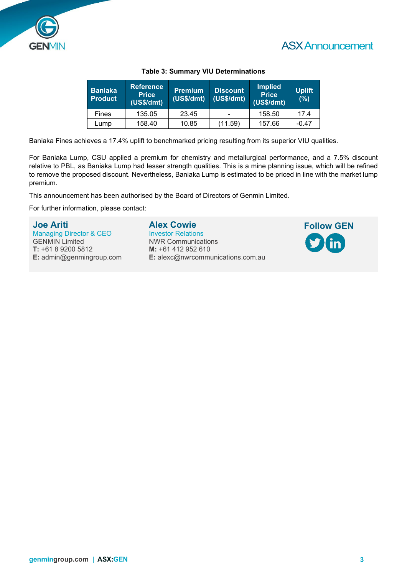



| <b>Baniaka</b><br><b>Product</b> | Reference<br><b>Price</b><br>(US\$/dmt) | <b>Premium</b><br>(US\$/dmt) | <b>Discount</b><br>(USS/dmt) | <b>Implied</b><br><b>Price</b><br>(US\$/dmt) | <b>Uplift</b><br>(%) |
|----------------------------------|-----------------------------------------|------------------------------|------------------------------|----------------------------------------------|----------------------|
| Fines                            | 135.05                                  | 23.45                        | $\overline{\phantom{0}}$     | 158.50                                       | 17.4                 |
| Lump                             | 158.40                                  | 10.85                        | (11.59)                      | 157.66                                       | $-0.47$              |

#### **Table 3: Summary VIU Determinations**

Baniaka Fines achieves a 17.4% uplift to benchmarked pricing resulting from its superior VIU qualities.

For Baniaka Lump, CSU applied a premium for chemistry and metallurgical performance, and a 7.5% discount relative to PBL, as Baniaka Lump had lesser strength qualities. This is a mine planning issue, which will be refined to remove the proposed discount. Nevertheless, Baniaka Lump is estimated to be priced in line with the market lump premium.

This announcement has been authorised by the Board of Directors of Genmin Limited.

For further information, please contact:

**Joe Ariti** Managing Director & CEO GENMIN Limited **T:** +61 8 9200 5812 **E:** admin@genmingroup.com **Alex Cowie**

Investor Relations NWR Communications **M:** +61 412 952 610 **E:** alexc@nwrcommunications.com.au